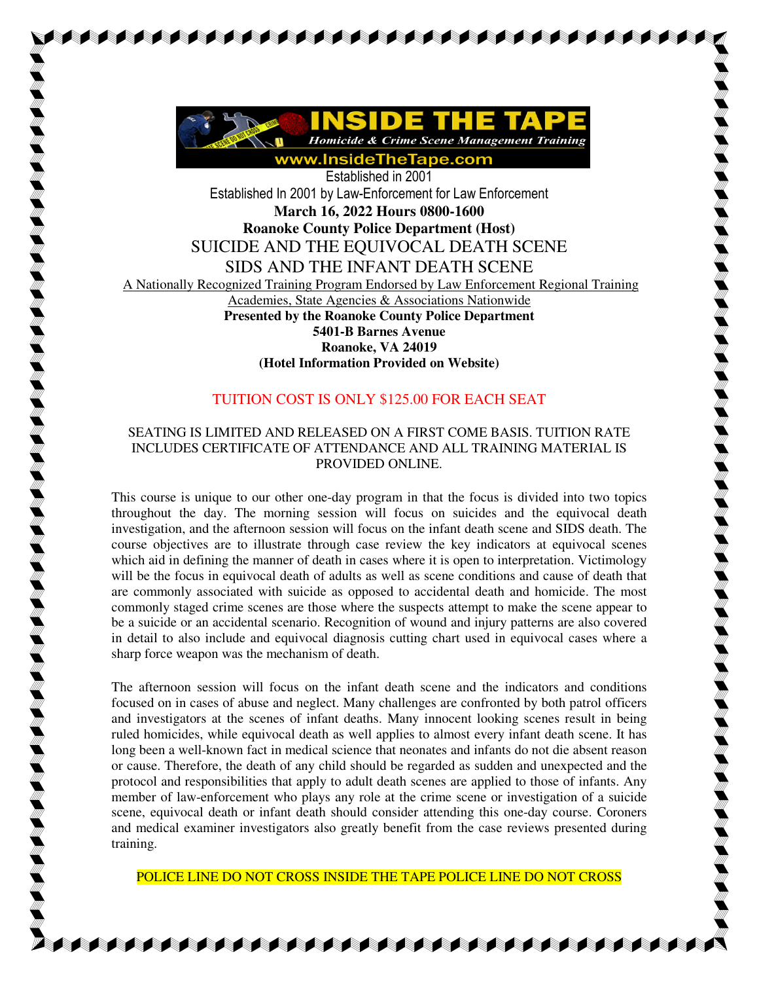

AAAAAAAAAAAAAAAAAAAAAAA

Established in 2001 Established In 2001 by Law-Enforcement for Law Enforcement **March 16, 2022 Hours 0800-1600 Roanoke County Police Department (Host)**  SUICIDE AND THE EQUIVOCAL DEATH SCENE SIDS AND THE INFANT DEATH SCENE A Nationally Recognized Training Program Endorsed by Law Enforcement Regional Training Academies, State Agencies & Associations Nationwide **Presented by the Roanoke County Police Department 5401-B Barnes Avenue Roanoke, VA 24019 (Hotel Information Provided on Website)**

## TUITION COST IS ONLY \$125.00 FOR EACH SEAT

## SEATING IS LIMITED AND RELEASED ON A FIRST COME BASIS. TUITION RATE INCLUDES CERTIFICATE OF ATTENDANCE AND ALL TRAINING MATERIAL IS PROVIDED ONLINE.

This course is unique to our other one-day program in that the focus is divided into two topics throughout the day. The morning session will focus on suicides and the equivocal death investigation, and the afternoon session will focus on the infant death scene and SIDS death. The course objectives are to illustrate through case review the key indicators at equivocal scenes which aid in defining the manner of death in cases where it is open to interpretation. Victimology will be the focus in equivocal death of adults as well as scene conditions and cause of death that are commonly associated with suicide as opposed to accidental death and homicide. The most commonly staged crime scenes are those where the suspects attempt to make the scene appear to be a suicide or an accidental scenario. Recognition of wound and injury patterns are also covered in detail to also include and equivocal diagnosis cutting chart used in equivocal cases where a sharp force weapon was the mechanism of death.

The afternoon session will focus on the infant death scene and the indicators and conditions focused on in cases of abuse and neglect. Many challenges are confronted by both patrol officers and investigators at the scenes of infant deaths. Many innocent looking scenes result in being ruled homicides, while equivocal death as well applies to almost every infant death scene. It has long been a well-known fact in medical science that neonates and infants do not die absent reason or cause. Therefore, the death of any child should be regarded as sudden and unexpected and the protocol and responsibilities that apply to adult death scenes are applied to those of infants. Any member of law-enforcement who plays any role at the crime scene or investigation of a suicide scene, equivocal death or infant death should consider attending this one-day course. Coroners and medical examiner investigators also greatly benefit from the case reviews presented during training.

POLICE LINE DO NOT CROSS INSIDE THE TAPE POLICE LINE DO NOT CROSS

AAAAAAAAAAAAAAAAAAAAAA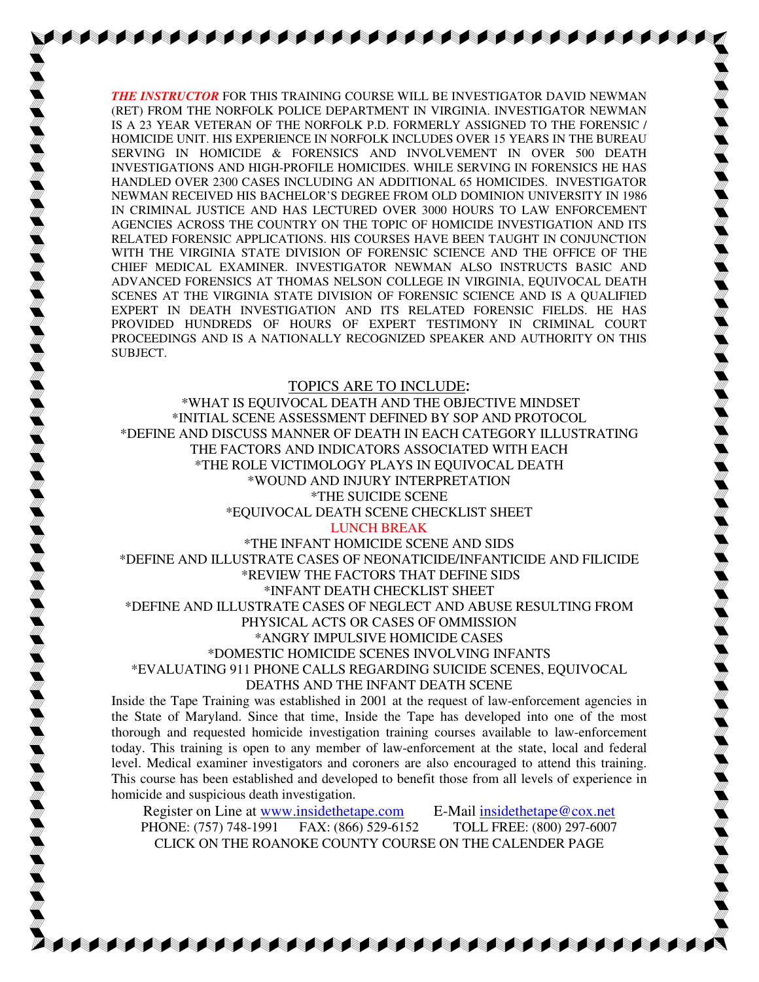*THE INSTRUCTOR* FOR THIS TRAINING COURSE WILL BE INVESTIGATOR DAVID NEWMAN (RET) FROM THE NORFOLK POLICE DEPARTMENT IN VIRGINIA. INVESTIGATOR NEWMAN IS A 23 YEAR VETERAN OF THE NORFOLK P.D. FORMERLY ASSIGNED TO THE FORENSIC / HOMICIDE UNIT. HIS EXPERIENCE IN NORFOLK INCLUDES OVER 15 YEARS IN THE BUREAU SERVING IN HOMICIDE & FORENSICS AND INVOLVEMENT IN OVER 500 DEATH INVESTIGATIONS AND HIGH-PROFILE HOMICIDES. WHILE SERVING IN FORENSICS HE HAS HANDLED OVER 2300 CASES INCLUDING AN ADDITIONAL 65 HOMICIDES. INVESTIGATOR NEWMAN RECEIVED HIS BACHELOR'S DEGREE FROM OLD DOMINION UNIVERSITY IN 1986 IN CRIMINAL JUSTICE AND HAS LECTURED OVER 3000 HOURS TO LAW ENFORCEMENT AGENCIES ACROSS THE COUNTRY ON THE TOPIC OF HOMICIDE INVESTIGATION AND ITS RELATED FORENSIC APPLICATIONS. HIS COURSES HAVE BEEN TAUGHT IN CONJUNCTION WITH THE VIRGINIA STATE DIVISION OF FORENSIC SCIENCE AND THE OFFICE OF THE CHIEF MEDICAL EXAMINER. INVESTIGATOR NEWMAN ALSO INSTRUCTS BASIC AND ADVANCED FORENSICS AT THOMAS NELSON COLLEGE IN VIRGINIA, EQUIVOCAL DEATH SCENES AT THE VIRGINIA STATE DIVISION OF FORENSIC SCIENCE AND IS A QUALIFIED EXPERT IN DEATH INVESTIGATION AND ITS RELATED FORENSIC FIELDS. HE HAS PROVIDED HUNDREDS OF HOURS OF EXPERT TESTIMONY IN CRIMINAL COURT PROCEEDINGS AND IS A NATIONALLY RECOGNIZED SPEAKER AND AUTHORITY ON THIS SUBJECT.

## TOPICS ARE TO INCLUDE**:**

\*WHAT IS EQUIVOCAL DEATH AND THE OBJECTIVE MINDSET \*INITIAL SCENE ASSESSMENT DEFINED BY SOP AND PROTOCOL \*DEFINE AND DISCUSS MANNER OF DEATH IN EACH CATEGORY ILLUSTRATING THE FACTORS AND INDICATORS ASSOCIATED WITH EACH \*THE ROLE VICTIMOLOGY PLAYS IN EQUIVOCAL DEATH \*WOUND AND INJURY INTERPRETATION \*THE SUICIDE SCENE \*EQUIVOCAL DEATH SCENE CHECKLIST SHEET

## LUNCH BREAK

\*THE INFANT HOMICIDE SCENE AND SIDS \*DEFINE AND ILLUSTRATE CASES OF NEONATICIDE/INFANTICIDE AND FILICIDE \*REVIEW THE FACTORS THAT DEFINE SIDS \*INFANT DEATH CHECKLIST SHEET \*DEFINE AND ILLUSTRATE CASES OF NEGLECT AND ABUSE RESULTING FROM PHYSICAL ACTS OR CASES OF OMMISSION \*ANGRY IMPULSIVE HOMICIDE CASES \*DOMESTIC HOMICIDE SCENES INVOLVING INFANTS \*EVALUATING 911 PHONE CALLS REGARDING SUICIDE SCENES, EQUIVOCAL DEATHS AND THE INFANT DEATH SCENE

Inside the Tape Training was established in 2001 at the request of law-enforcement agencies in the State of Maryland. Since that time, Inside the Tape has developed into one of the most thorough and requested homicide investigation training courses available to law-enforcement today. This training is open to any member of law-enforcement at the state, local and federal level. Medical examiner investigators and coroners are also encouraged to attend this training. This course has been established and developed to benefit those from all levels of experience in homicide and suspicious death investigation.

Register on Line at www.insidethetape.com E-Mail insidethetape@cox.net PHONE: (757) 748-1991 FAX: (866) 529-6152 TOLL FREE: (800) 297-6007 CLICK ON THE ROANOKE COUNTY COURSE ON THE CALENDER PAGE

**SARA ALAH SALAH SALAH SALAH SALAH SALAH SAL**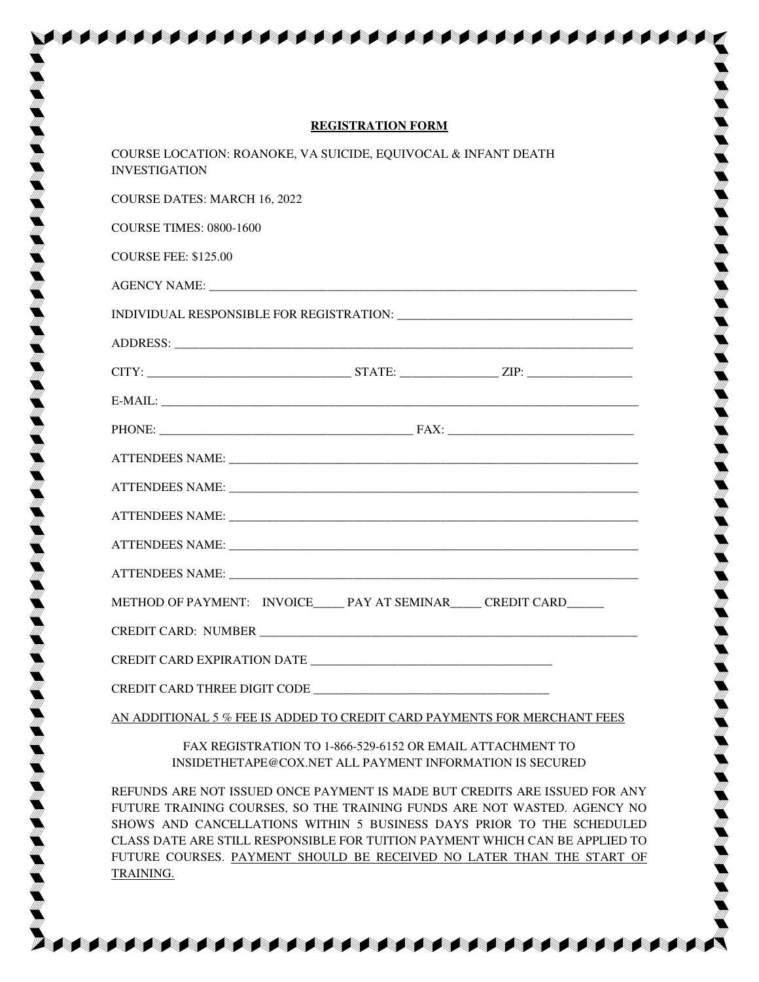| <b>REGISTRATION FORM</b>                                                                                                                                                                                                                                            |
|---------------------------------------------------------------------------------------------------------------------------------------------------------------------------------------------------------------------------------------------------------------------|
| COURSE LOCATION: ROANOKE, VA SUICIDE, EQUIVOCAL & INFANT DEATH<br><b>INVESTIGATION</b>                                                                                                                                                                              |
| <b>COURSE DATES: MARCH 16, 2022</b>                                                                                                                                                                                                                                 |
| <b>COURSE TIMES: 0800-1600</b>                                                                                                                                                                                                                                      |
| <b>COURSE FEE: \$125.00</b>                                                                                                                                                                                                                                         |
|                                                                                                                                                                                                                                                                     |
|                                                                                                                                                                                                                                                                     |
|                                                                                                                                                                                                                                                                     |
| $CITY:$ $ZIP:$ $ZIP:$ $ZIP:$ $ZIP:$ $ZIP:$ $ZIP:$ $ZIP:$ $ZIP:$ $ZIP:$ $ZIP:$ $ZIP:$ $ZIP:$ $ZIP:$ $ZIP:$ $ZIP:$ $ZIP:$ $ZIP:$ $ZIP:$ $ZIP:$ $ZIP:$ $ZIP:$ $ZIP:$ $ZIP:$ $ZIP:$ $ZIP:$ $ZIP:$ $ZIP:$ $ZIP:$ $ZIP:$ $ZIP:$ $ZIP:$ $ZIP:$ $ZIP:$ $ZIP:$ $ZIP:$ $ZIP:$ |
|                                                                                                                                                                                                                                                                     |
|                                                                                                                                                                                                                                                                     |
|                                                                                                                                                                                                                                                                     |
|                                                                                                                                                                                                                                                                     |
|                                                                                                                                                                                                                                                                     |
| ATTENDEES NAME: CONSERVERS ATTENDEES NAME:                                                                                                                                                                                                                          |
|                                                                                                                                                                                                                                                                     |
| METHOD OF PAYMENT: INVOICE_____ PAY AT SEMINAR_____ CREDIT CARD______                                                                                                                                                                                               |
| <b>CREDIT CARD: NUMBER</b>                                                                                                                                                                                                                                          |
|                                                                                                                                                                                                                                                                     |
|                                                                                                                                                                                                                                                                     |
| AN ADDITIONAL 5 % FEE IS ADDED TO CREDIT CARD PAYMENTS FOR MERCHANT FEES                                                                                                                                                                                            |
|                                                                                                                                                                                                                                                                     |

FAX REGISTRATION TO 1-866-529-6152 OR EMAIL ATTACHMENT TO INSIDETHETAPE@COX.NET ALL PAYMENT INFORMATION IS SECURED

REFUNDS ARE NOT ISSUED ONCE PAYMENT IS MADE BUT CREDITS ARE ISSUED FOR ANY FUTURE TRAINING COURSES, SO THE TRAINING FUNDS ARE NOT WASTED. AGENCY NO SHOWS AND CANCELLATIONS WITHIN 5 BUSINESS DAYS PRIOR TO THE SCHEDULED CLASS DATE ARE STILL RESPONSIBLE FOR TUITION PAYMENT WHICH CAN BE APPLIED TO FUTURE COURSES. PAYMENT SHOULD BE RECEIVED NO LATER THAN THE START OF TRAINING.